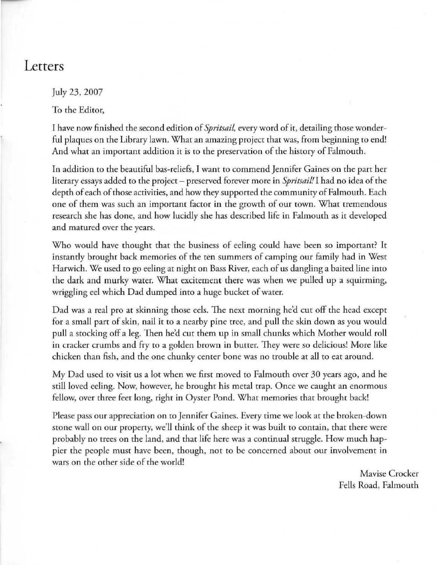## **Letters**

July 23, 2007

To the Editor,

I have now finished the second edition of *Spritsail,* every word of it, detailing those wonderful plaques on the Library lawn. What an amazing project that was, from beginning to end! And what an important addition it is to the preservation of the history of Falmouth.

In addition to the beautiful bas-reliefs, I wanr to commend Jennifer Gaines on the part her litetary essays added to the project - preserved forever more in *Spritsail!* I had no idea of the depth of each of those activities, and how they supported the communiry of Falmouth. Each one of them was such an important factor in the growth of our town. What tremendous research she has done, and how lucidly she has described life in Falmouth as it developed and matured over the years.

Who would have thought that the business of eeling could have been so important? It instantly brought back memories of the ten summers of camping our family had in West Harwich. We used to go eeling at night on Bass River, each of us dangling a baited line into the dark and murky water. What excitement there was when we pulled up a squirming, wriggling eel which Dad dumped into a huge bucket of water.

Dad was a real pro at skinning those eels. The next morning he'd cut off the head except for a small part of skin, nail it to a nearby pine tree, and pull the skin down as you would pull a srocking off a leg. Then he'd cur them up in small chunks which Morher would roll in cracker crumbs and fry to a golden brown in butter. They were so delicious! More like chicken than fish, and the one chunky center bone was no trouble at all to eat around.

My Dad used ro visit us a lot when we first moved ro Falmouth over 30 years ago, and he still loved eeling. Now, however, he brought his metal trap. Once we caught an enormous fellow, over three feet long, right in Oyster Pond. What memories that brought back!

Please pass our appreciation on to Jennifer Gaines. Every time we look at the broken-down stone wall on our property, we'll think of the sheep it was built to contain, that there were probably no trees on the land, and that life here was a continual struggle. How much hap**pier the people must have been, though, not to be concerned about our involvement in** wars on the other side of the world!

> Mavise Crocker Fells Road, Falmouth